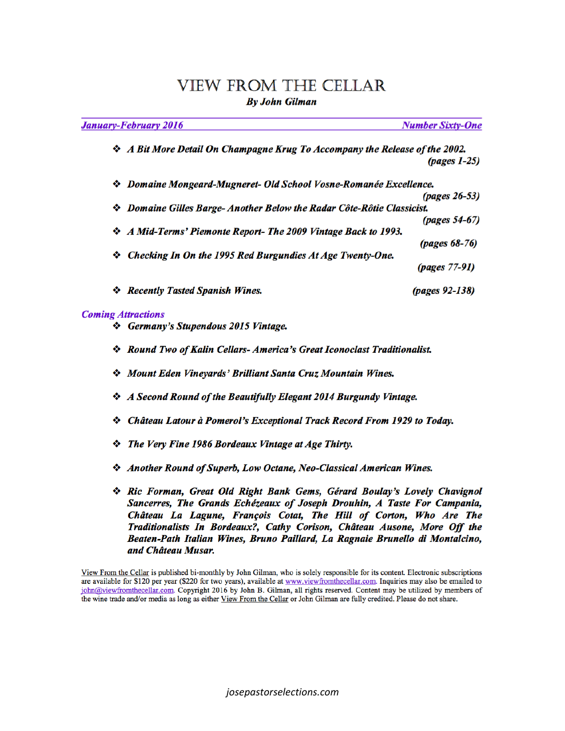# **VIEW FROM THE CELLAR**

**By John Gilman** 

| <b>January-February 2016</b>                                                       | <b>Number Sixty-One</b> |
|------------------------------------------------------------------------------------|-------------------------|
| <b>☆</b> A Bit More Detail On Champagne Krug To Accompany the Release of the 2002. |                         |
|                                                                                    | $(pages 1-25)$          |
| <i><b>❖ Domaine Mongeard-Mugneret- Old School Vosne-Romanée Excellence.</b></i>    |                         |
|                                                                                    | <i>(pages 26-53)</i>    |
| ❖ Domaine Gilles Barge-Another Below the Radar Côte-Rôtie Classicist.              |                         |
|                                                                                    | (pages 54-67)           |
| ☆ A Mid-Terms' Piemonte Report- The 2009 Vintage Back to 1993.                     |                         |
|                                                                                    | (pages 68-76)           |
| Checking In On the 1995 Red Burgundies At Age Twenty-One.                          |                         |
|                                                                                    | <i>(pages 77-91)</i>    |
| <b>Recently Tasted Spanish Wines.</b><br>⊗                                         | (pages 92-138)          |

#### **Coming Attractions**

- Germany's Stupendous 2015 Vintage.
- \* Round Two of Kalin Cellars- America's Great Iconoclast Traditionalist.
- Mount Eden Vineyards' Brilliant Santa Cruz Mountain Wines.
- ❖ A Second Round of the Beautifully Elegant 2014 Burgundy Vintage.
- Château Latour à Pomerol's Exceptional Track Record From 1929 to Today.
- *❖* The Very Fine 1986 Bordeaux Vintage at Age Thirty.
- Another Round of Superb, Low Octane, Neo-Classical American Wines.
- ❖ Ric Forman, Great Old Right Bank Gems, Gérard Boulay's Lovely Chavignol Sancerres, The Grands Echézeaux of Joseph Drouhin, A Taste For Campania, Château La Lagune, François Cotat, The Hill of Corton, Who Are The Traditionalists In Bordeaux?, Cathy Corison, Château Ausone, More Off the Beaten-Path Italian Wines, Bruno Paillard, La Ragnaie Brunello di Montalcino, and Château Musar.

View From the Cellar is published bi-monthly by John Gilman, who is solely responsible for its content. Electronic subscriptions are available for \$120 per year (\$220 for two years), available at www.viewfromthecellar.com. Inquiries may also be emailed to john@viewfromthecellar.com. Copyright 2016 by John B. Gilman, all rights reserved. Content may be utilized by members of the wine trade and/or media as long as either View From the Cellar or John Gilman are fully credited. Please do not share.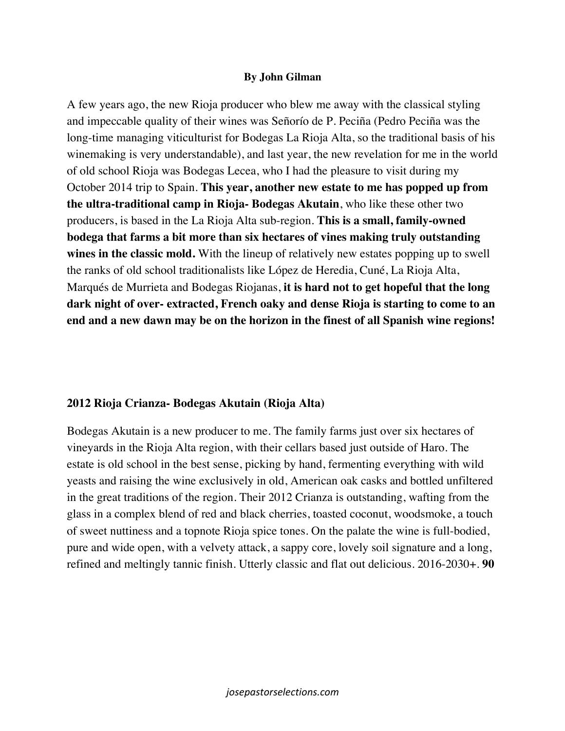#### **By John Gilman**

A few years ago, the new Rioja producer who blew me away with the classical styling and impeccable quality of their wines was Señorío de P. Peciña (Pedro Peciña was the long-time managing viticulturist for Bodegas La Rioja Alta, so the traditional basis of his winemaking is very understandable), and last year, the new revelation for me in the world of old school Rioja was Bodegas Lecea, who I had the pleasure to visit during my October 2014 trip to Spain. **This year, another new estate to me has popped up from the ultra-traditional camp in Rioja- Bodegas Akutain**, who like these other two producers, is based in the La Rioja Alta sub-region. **This is a small, family-owned bodega that farms a bit more than six hectares of vines making truly outstanding wines in the classic mold.** With the lineup of relatively new estates popping up to swell the ranks of old school traditionalists like López de Heredia, Cuné, La Rioja Alta, Marqués de Murrieta and Bodegas Riojanas, **it is hard not to get hopeful that the long dark night of over- extracted, French oaky and dense Rioja is starting to come to an end and a new dawn may be on the horizon in the finest of all Spanish wine regions!** 

### **2012 Rioja Crianza- Bodegas Akutain (Rioja Alta)**

Bodegas Akutain is a new producer to me. The family farms just over six hectares of vineyards in the Rioja Alta region, with their cellars based just outside of Haro. The estate is old school in the best sense, picking by hand, fermenting everything with wild yeasts and raising the wine exclusively in old, American oak casks and bottled unfiltered in the great traditions of the region. Their 2012 Crianza is outstanding, wafting from the glass in a complex blend of red and black cherries, toasted coconut, woodsmoke, a touch of sweet nuttiness and a topnote Rioja spice tones. On the palate the wine is full-bodied, pure and wide open, with a velvety attack, a sappy core, lovely soil signature and a long, refined and meltingly tannic finish. Utterly classic and flat out delicious. 2016-2030+. **90**